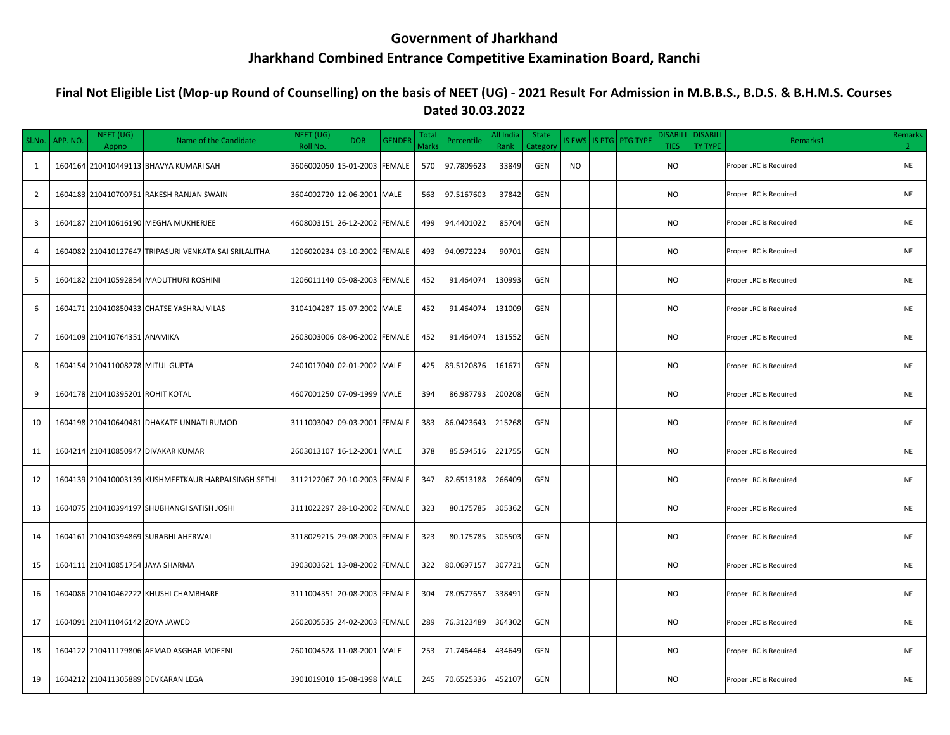## **Government of Jharkhand Jharkhand Combined Entrance Competitive Examination Board, Ranchi**

## **Final Not Eligible List (Mop-up Round of Counselling) on the basis of NEET (UG) - 2021 Result For Admission in M.B.B.S., B.D.S. & B.H.M.S. Courses Dated 30.03.2022**

| SI.No.         | APP. NO. | NEET (UG)<br>Appno               | Name of the Candidate                                 | NEET (UG)<br>Roll No. | <b>DOB</b>                   | <b>GENDER</b> | <b>Tota</b><br>Marks | Percentile | All India<br>Rank | <b>State</b><br>Category | <b>IS EWS</b> | IS PTG   PTG TYPE | <b>DISABILI</b><br><b>TIES</b> | <b>DISABILI</b><br>TY TYPE | Remarks1               | Remarks<br>2 <sup>1</sup> |
|----------------|----------|----------------------------------|-------------------------------------------------------|-----------------------|------------------------------|---------------|----------------------|------------|-------------------|--------------------------|---------------|-------------------|--------------------------------|----------------------------|------------------------|---------------------------|
| 1              |          |                                  | 1604164 210410449113 BHAVYA KUMARI SAH                |                       | 3606002050 15-01-2003        | <b>FEMALE</b> | 570                  | 97.7809623 | 33849             | GEN                      | <b>NO</b>     |                   | <b>NO</b>                      |                            | Proper LRC is Required | <b>NE</b>                 |
| $\overline{2}$ |          |                                  | 1604183 210410700751 RAKESH RANJAN SWAIN              |                       | 3604002720 12-06-2001 MALE   |               | 563                  | 97.5167603 | 37842             | <b>GEN</b>               |               |                   | <b>NO</b>                      |                            | Proper LRC is Required | <b>NE</b>                 |
| 3              |          |                                  | 1604187 210410616190 MEGHA MUKHERJEE                  |                       | 4608003151 26-12-2002 FEMALE |               | 499                  | 94.4401022 | 85704             | <b>GEN</b>               |               |                   | <b>NO</b>                      |                            | Proper LRC is Required | <b>NE</b>                 |
| 4              |          |                                  | 1604082 210410127647 TRIPASURI VENKATA SAI SRILALITHA |                       | 1206020234 03-10-2002 FEMALE |               | 493                  | 94.0972224 | 90701             | GEN                      |               |                   | <b>NO</b>                      |                            | Proper LRC is Required | <b>NE</b>                 |
| 5              |          |                                  | 1604182 210410592854 MADUTHURI ROSHINI                |                       | 1206011140 05-08-2003 FEMALE |               | 452                  | 91.464074  | 130993            | GEN                      |               |                   | <b>NO</b>                      |                            | Proper LRC is Required | <b>NE</b>                 |
| 6              |          |                                  | 1604171 210410850433 CHATSE YASHRAJ VILAS             |                       | 3104104287 15-07-2002 MALE   |               | 452                  | 91.464074  | 131009            | GEN                      |               |                   | <b>NO</b>                      |                            | Proper LRC is Required | <b>NE</b>                 |
| $\overline{7}$ |          | 1604109 210410764351 ANAMIKA     |                                                       |                       | 2603003006 08-06-2002 FEMALE |               | 452                  | 91.464074  | 131552            | GEN                      |               |                   | <b>NO</b>                      |                            | Proper LRC is Required | <b>NE</b>                 |
| 8              |          | 1604154 210411008278 MITUL GUPTA |                                                       |                       | 2401017040 02-01-2002 MALE   |               | 425                  | 89.5120876 | 161671            | GEN                      |               |                   | <b>NO</b>                      |                            | Proper LRC is Required | <b>NE</b>                 |
| 9              |          | 1604178 210410395201 ROHIT KOTAL |                                                       |                       | 4607001250 07-09-1999 MALE   |               | 394                  | 86.987793  | 200208            | GEN                      |               |                   | <b>NO</b>                      |                            | Proper LRC is Required | <b>NE</b>                 |
| 10             |          |                                  | 1604198 210410640481 DHAKATE UNNATI RUMOD             |                       | 3111003042 09-03-2001 FEMALE |               | 383                  | 86.0423643 | 215268            | GEN                      |               |                   | <b>NO</b>                      |                            | Proper LRC is Required | <b>NE</b>                 |
| 11             |          |                                  | 1604214 210410850947 DIVAKAR KUMAR                    |                       | 2603013107 16-12-2001 MALE   |               | 378                  | 85.594516  | 221755            | GEN                      |               |                   | <b>NO</b>                      |                            | Proper LRC is Required | <b>NE</b>                 |
| 12             |          |                                  | 1604139 210410003139 KUSHMEETKAUR HARPALSINGH SETHI   |                       | 3112122067 20-10-2003        | <b>FEMALE</b> | 347                  | 82.6513188 | 266409            | GEN                      |               |                   | <b>NO</b>                      |                            | Proper LRC is Required | <b>NE</b>                 |
| 13             |          |                                  | 1604075 210410394197 SHUBHANGI SATISH JOSHI           |                       | 3111022297 28-10-2002 FEMALE |               | 323                  | 80.175785  | 305362            | GEN                      |               |                   | <b>NO</b>                      |                            | Proper LRC is Required | <b>NE</b>                 |
| 14             |          |                                  | 1604161 210410394869 SURABHI AHERWAL                  |                       | 3118029215 29-08-2003 FEMALE |               | 323                  | 80.175785  | 305503            | <b>GEN</b>               |               |                   | <b>NO</b>                      |                            | Proper LRC is Required | <b>NE</b>                 |
| 15             |          | 1604111 210410851754 JAYA SHARMA |                                                       |                       | 3903003621 13-08-2002 FEMALE |               | 322                  | 80.0697157 | 307721            | GEN                      |               |                   | <b>NO</b>                      |                            | Proper LRC is Required | <b>NE</b>                 |
| 16             |          |                                  | 1604086 210410462222 KHUSHI CHAMBHARE                 |                       | 3111004351 20-08-2003        | <b>FEMALE</b> | 304                  | 78.0577657 | 338491            | GEN                      |               |                   | <b>NO</b>                      |                            | Proper LRC is Required | <b>NE</b>                 |
| 17             |          | 1604091 210411046142 ZOYA JAWED  |                                                       |                       | 2602005535 24-02-2003 FEMALE |               | 289                  | 76.3123489 | 364302            | GEN                      |               |                   | <b>NO</b>                      |                            | Proper LRC is Required | <b>NE</b>                 |
| 18             |          |                                  | 1604122 210411179806 AEMAD ASGHAR MOEENI              |                       | 2601004528 11-08-2001 MALE   |               | 253                  | 71.7464464 | 434649            | GEN                      |               |                   | <b>NO</b>                      |                            | Proper LRC is Required | <b>NE</b>                 |
| 19             |          |                                  | 1604212 210411305889 DEVKARAN LEGA                    |                       | 3901019010 15-08-1998 MALE   |               | 245                  | 70.6525336 | 452107            | <b>GEN</b>               |               |                   | <b>NO</b>                      |                            | Proper LRC is Required | <b>NE</b>                 |